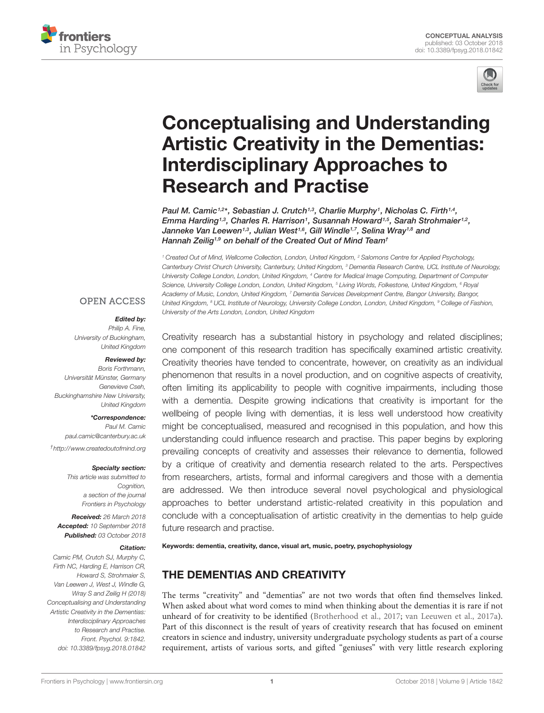



# [Conceptualising and Understanding](https://www.frontiersin.org/articles/10.3389/fpsyg.2018.01842/full) Artistic Creativity in the Dementias: Interdisciplinary Approaches to Research and Practise

[Paul M. Camic](http://loop.frontiersin.org/people/459382/overview)<sup>1,2\*</sup>, [Sebastian J. Crutch](http://loop.frontiersin.org/people/47399/overview)<sup>1,3</sup>, [Charlie Murphy](http://loop.frontiersin.org/people/521994/overview)<sup>1</sup>, [Nicholas C. Firth](http://loop.frontiersin.org/people/426516/overview)<sup>1,4</sup>, [Emma Harding](http://loop.frontiersin.org/people/521815/overview)1,3, [Charles R. Harrison](http://loop.frontiersin.org/people/521830/overview)1, [Susannah Howard](http://loop.frontiersin.org/people/521900/overview)1,5, [Sarah Strohmaier](http://loop.frontiersin.org/people/521797/overview)1,2, [Janneke Van Leewen](http://loop.frontiersin.org/people/521814/overview)1,3, [Julian West](http://loop.frontiersin.org/people/522070/overview)<sup>1,6</sup>, [Gill Windle](http://loop.frontiersin.org/people/522135/overview)<sup>1,7</sup>, [Selina Wray](http://loop.frontiersin.org/people/9975/overview)<sup>1,8</sup> and [Hannah Zeilig](http://loop.frontiersin.org/people/521856/overview)<sup>1,9</sup> on behalf of the Created Out of Mind Team<sup>+</sup>

<sup>1</sup> Created Out of Mind, Wellcome Collection, London, United Kingdom, <sup>2</sup> Salomons Centre for Applied Psychology, Canterbury Christ Church University, Canterbury, United Kingdom, <sup>3</sup> Dementia Research Centre, UCL Institute of Neurology, University College London, London, United Kingdom, <sup>4</sup> Centre for Medical Image Computing, Department of Computer Science, University College London, London, United Kingdom, <sup>5</sup> Living Words, Folkestone, United Kingdom, <sup>6</sup> Royal Academy of Music, London, United Kingdom, <sup>7</sup> Dementia Services Development Centre, Bangor University, Bangor, United Kingdom, <sup>8</sup> UCL Institute of Neurology, University College London, London, United Kingdom, <sup>9</sup> College of Fashion, University of the Arts London, London, United Kingdom

#### **OPEN ACCESS**

#### Edited by:

Philip A. Fine, University of Buckingham, United Kingdom

#### Reviewed by:

Boris Forthmann, Universität Münster, Germany Genevieve Cseh, Buckinghamshire New University, United Kingdom

\*Correspondence: Paul M. Camic paul.camic@canterbury.ac.uk †<http://www.createdoutofmind.org>

#### Specialty section:

This article was submitted to Cognition. a section of the journal Frontiers in Psychology

Received: 26 March 2018 Accepted: 10 September 2018 Published: 03 October 2018

#### Citation:

Camic PM, Crutch SJ, Murphy C, Firth NC, Harding E, Harrison CR, Howard S, Strohmaier S, Van Leewen J, West J, Windle G, Wray S and Zeilig H (2018) Conceptualising and Understanding Artistic Creativity in the Dementias: Interdisciplinary Approaches to Research and Practise. Front. Psychol. 9:1842. doi: [10.3389/fpsyg.2018.01842](https://doi.org/10.3389/fpsyg.2018.01842)

Creativity research has a substantial history in psychology and related disciplines; one component of this research tradition has specifically examined artistic creativity. Creativity theories have tended to concentrate, however, on creativity as an individual phenomenon that results in a novel production, and on cognitive aspects of creativity, often limiting its applicability to people with cognitive impairments, including those with a dementia. Despite growing indications that creativity is important for the wellbeing of people living with dementias, it is less well understood how creativity might be conceptualised, measured and recognised in this population, and how this understanding could influence research and practise. This paper begins by exploring prevailing concepts of creativity and assesses their relevance to dementia, followed by a critique of creativity and dementia research related to the arts. Perspectives from researchers, artists, formal and informal caregivers and those with a dementia are addressed. We then introduce several novel psychological and physiological approaches to better understand artistic-related creativity in this population and conclude with a conceptualisation of artistic creativity in the dementias to help guide future research and practise.

Keywords: dementia, creativity, dance, visual art, music, poetry, psychophysiology

# THE DEMENTIAS AND CREATIVITY

The terms "creativity" and "dementias" are not two words that often find themselves linked. When asked about what word comes to mind when thinking about the dementias it is rare if not unheard of for creativity to be identified [\(Brotherhood et al.,](#page-9-0) [2017;](#page-9-0) [van Leeuwen et al.,](#page-11-0) [2017a\)](#page-11-0). Part of this disconnect is the result of years of creativity research that has focused on eminent creators in science and industry, university undergraduate psychology students as part of a course requirement, artists of various sorts, and gifted "geniuses" with very little research exploring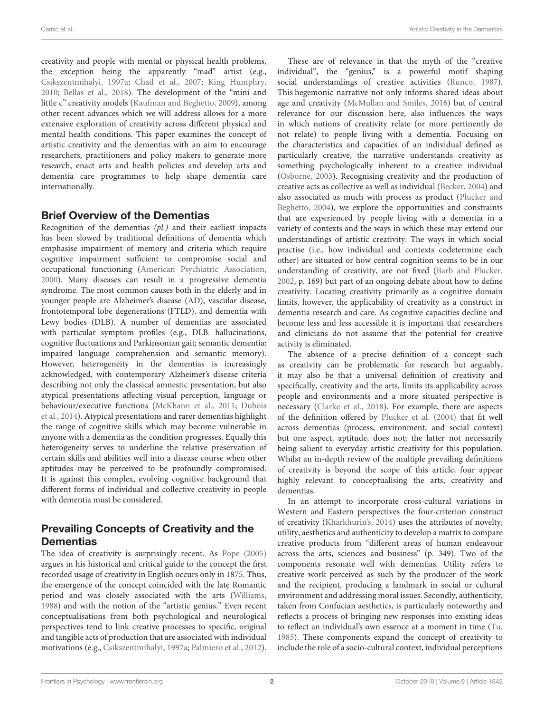creativity and people with mental or physical health problems, the exception being the apparently "mad" artist (e.g., [Csikszentmihalyi,](#page-10-0) [1997a;](#page-10-0) [Chad et al.,](#page-10-1) [2007;](#page-10-1) [King Humphry,](#page-10-2) [2010;](#page-10-2) [Bellas et al.,](#page-9-1) [2018\)](#page-9-1). The development of the "mini and little c" creativity models [\(Kaufman and Beghetto,](#page-10-3) [2009\)](#page-10-3), among other recent advances which we will address allows for a more extensive exploration of creativity across different physical and mental health conditions. This paper examines the concept of artistic creativity and the dementias with an aim to encourage researchers, practitioners and policy makers to generate more research, enact arts and health policies and develop arts and dementia care programmes to help shape dementia care internationally.

#### Brief Overview of the Dementias

Recognition of the dementias  $(pl)$  and their earliest impacts has been slowed by traditional definitions of dementia which emphasise impairment of memory and criteria which require cognitive impairment sufficient to compromise social and occupational functioning [\(American Psychiatric Association,](#page-9-2) [2000\)](#page-9-2). Many diseases can result in a progressive dementia syndrome. The most common causes both in the elderly and in younger people are Alzheimer's disease (AD), vascular disease, frontotemporal lobe degenerations (FTLD), and dementia with Lewy bodies (DLB). A number of dementias are associated with particular symptom profiles (e.g., DLB: hallucinations, cognitive fluctuations and Parkinsonian gait; semantic dementia: impaired language comprehension and semantic memory). However, heterogeneity in the dementias is increasingly acknowledged, with contemporary Alzheimer's disease criteria describing not only the classical amnestic presentation, but also atypical presentations affecting visual perception, language or behaviour/executive functions [\(McKhann et al.,](#page-10-4) [2011;](#page-10-4) [Dubois](#page-10-5) [et al.,](#page-10-5) [2014\)](#page-10-5). Atypical presentations and rarer dementias highlight the range of cognitive skills which may become vulnerable in anyone with a dementia as the condition progresses. Equally this heterogeneity serves to underline the relative preservation of certain skills and abilities well into a disease course when other aptitudes may be perceived to be profoundly compromised. It is against this complex, evolving cognitive background that different forms of individual and collective creativity in people with dementia must be considered.

# Prevailing Concepts of Creativity and the **Dementias**

The idea of creativity is surprisingly recent. As [Pope](#page-11-1) [\(2005\)](#page-11-1) argues in his historical and critical guide to the concept the first recorded usage of creativity in English occurs only in 1875. Thus, the emergence of the concept coincided with the late Romantic period and was closely associated with the arts [\(Williams,](#page-11-2) [1988\)](#page-11-2) and with the notion of the "artistic genius." Even recent conceptualisations from both psychological and neurological perspectives tend to link creative processes to specific, original and tangible acts of production that are associated with individual motivations (e.g., [Csikszentmihalyi,](#page-10-0) [1997a;](#page-10-0) [Palmiero et al.,](#page-10-6) [2012\)](#page-10-6).

These are of relevance in that the myth of the "creative individual", the "genius," is a powerful motif shaping social understandings of creative activities [\(Runco,](#page-11-3) [1987\)](#page-11-3). This hegemonic narrative not only informs shared ideas about age and creativity [\(McMullan and Smiles,](#page-10-7) [2016\)](#page-10-7) but of central relevance for our discussion here, also influences the ways in which notions of creativity relate (or more pertinently do not relate) to people living with a dementia. Focusing on the characteristics and capacities of an individual defined as particularly creative, the narrative understands creativity as something psychologically inherent to a creative individual [\(Osborne,](#page-10-8) [2003\)](#page-10-8). Recognising creativity and the production of creative acts as collective as well as individual [\(Becker,](#page-9-3) [2004\)](#page-9-3) and also associated as much with process as product [\(Plucker and](#page-11-4) [Beghetto,](#page-11-4) [2004\)](#page-11-4), we explore the opportunities and constraints that are experienced by people living with a dementia in a variety of contexts and the ways in which these may extend our understandings of artistic creativity. The ways in which social practise (i.e., how individual and contexts codetermine each other) are situated or how central cognition seems to be in our understanding of creativity, are not fixed [\(Barb and Plucker,](#page-9-4) [2002,](#page-9-4) p. 169) but part of an ongoing debate about how to define creativity. Locating creativity primarily as a cognitive domain limits, however, the applicability of creativity as a construct in dementia research and care. As cognitive capacities decline and become less and less accessible it is important that researchers and clinicians do not assume that the potential for creative activity is eliminated.

The absence of a precise definition of a concept such as creativity can be problematic for research but arguably, it may also be that a universal definition of creativity and specifically, creativity and the arts, limits its applicability across people and environments and a more situated perspective is necessary [\(Clarke et al.,](#page-10-9) [2018\)](#page-10-9). For example, there are aspects of the definition offered by [Plucker et al.](#page-11-5) [\(2004\)](#page-11-5) that fit well across dementias (process, environment, and social context) but one aspect, aptitude, does not; the latter not necessarily being salient to everyday artistic creativity for this population. Whilst an in-depth review of the multiple prevailing definitions of creativity is beyond the scope of this article, four appear highly relevant to conceptualising the arts, creativity and dementias.

In an attempt to incorporate cross-cultural variations in Western and Eastern perspectives the four-criterion construct of creativity [\(Kharkhurin's,](#page-10-10) [2014\)](#page-10-10) uses the attributes of novelty, utility, aesthetics and authenticity to develop a matrix to compare creative products from "different areas of human endeavour across the arts, sciences and business" (p. 349). Two of the components resonate well with dementias. Utility refers to creative work perceived as such by the producer of the work and the recipient, producing a landmark in social or cultural environment and addressing moral issues. Secondly, authenticity, taken from Confucian aesthetics, is particularly noteworthy and reflects a process of bringing new responses into existing ideas to reflect an individual's own essence at a moment in time [\(Tu,](#page-11-6) [1985\)](#page-11-6). These components expand the concept of creativity to include the role of a socio-cultural context, individual perceptions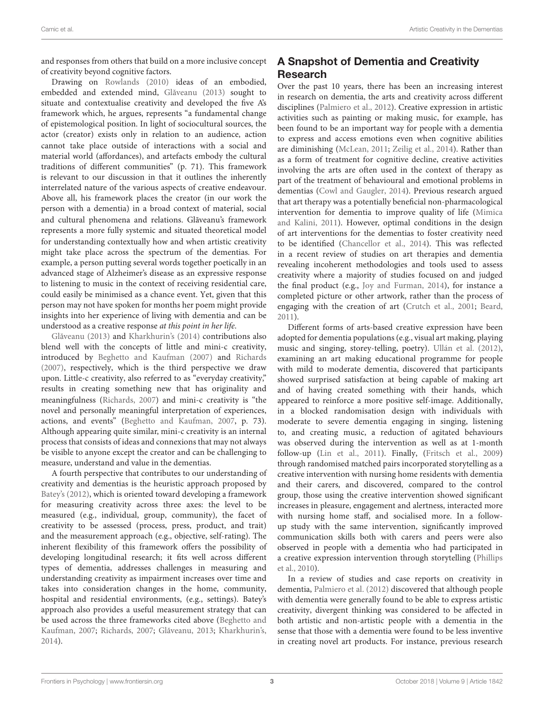and responses from others that build on a more inclusive concept of creativity beyond cognitive factors.

Drawing on [Rowlands](#page-11-7) [\(2010\)](#page-11-7) ideas of an embodied, embedded and extended mind, Glăveanu [\(2013\)](#page-10-11) sought to situate and contextualise creativity and developed the five A's framework which, he argues, represents "a fundamental change of epistemological position. In light of sociocultural sources, the actor (creator) exists only in relation to an audience, action cannot take place outside of interactions with a social and material world (affordances), and artefacts embody the cultural traditions of different communities" (p. 71). This framework is relevant to our discussion in that it outlines the inherently interrelated nature of the various aspects of creative endeavour. Above all, his framework places the creator (in our work the person with a dementia) in a broad context of material, social and cultural phenomena and relations. Glãveanu's framework represents a more fully systemic and situated theoretical model for understanding contextually how and when artistic creativity might take place across the spectrum of the dementias. For example, a person putting several words together poetically in an advanced stage of Alzheimer's disease as an expressive response to listening to music in the context of receiving residential care, could easily be minimised as a chance event. Yet, given that this person may not have spoken for months her poem might provide insights into her experience of living with dementia and can be understood as a creative response at this point in her life.

Glăveanu [\(2013\)](#page-10-11) and [Kharkhurin's](#page-10-10) [\(2014\)](#page-10-10) contributions also blend well with the concepts of little and mini-c creativity, introduced by [Beghetto and Kaufman](#page-9-5) [\(2007\)](#page-9-5) and [Richards](#page-11-8) [\(2007\)](#page-11-8), respectively, which is the third perspective we draw upon. Little-c creativity, also referred to as "everyday creativity," results in creating something new that has originality and meaningfulness [\(Richards,](#page-11-8) [2007\)](#page-11-8) and mini-c creativity is "the novel and personally meaningful interpretation of experiences, actions, and events" [\(Beghetto and Kaufman,](#page-9-5) [2007,](#page-9-5) p. 73). Although appearing quite similar, mini-c creativity is an internal process that consists of ideas and connexions that may not always be visible to anyone except the creator and can be challenging to measure, understand and value in the dementias.

A fourth perspective that contributes to our understanding of creativity and dementias is the heuristic approach proposed by [Batey's](#page-9-6) [\(2012\)](#page-9-6), which is oriented toward developing a framework for measuring creativity across three axes: the level to be measured (e.g., individual, group, community), the facet of creativity to be assessed (process, press, product, and trait) and the measurement approach (e.g., objective, self-rating). The inherent flexibility of this framework offers the possibility of developing longitudinal research; it fits well across different types of dementia, addresses challenges in measuring and understanding creativity as impairment increases over time and takes into consideration changes in the home, community, hospital and residential environments, (e.g., settings). Batey's approach also provides a useful measurement strategy that can be used across the three frameworks cited above [\(Beghetto and](#page-9-5) [Kaufman,](#page-9-5) [2007;](#page-11-8) [Richards,](#page-11-8) 2007; Glăveanu, [2013;](#page-10-11) [Kharkhurin's,](#page-10-10) [2014\)](#page-10-10).

# A Snapshot of Dementia and Creativity Research

Over the past 10 years, there has been an increasing interest in research on dementia, the arts and creativity across different disciplines [\(Palmiero et al.,](#page-10-6) [2012\)](#page-10-6). Creative expression in artistic activities such as painting or making music, for example, has been found to be an important way for people with a dementia to express and access emotions even when cognitive abilities are diminishing [\(McLean,](#page-10-12) [2011;](#page-10-12) [Zeilig et al.,](#page-11-9) [2014\)](#page-11-9). Rather than as a form of treatment for cognitive decline, creative activities involving the arts are often used in the context of therapy as part of the treatment of behavioural and emotional problems in dementias [\(Cowl and Gaugler,](#page-10-13) [2014\)](#page-10-13). Previous research argued that art therapy was a potentially beneficial non-pharmacological intervention for dementia to improve quality of life [\(Mimica](#page-10-14) [and Kalini,](#page-10-14) [2011\)](#page-10-14). However, optimal conditions in the design of art interventions for the dementias to foster creativity need to be identified [\(Chancellor et al.,](#page-10-15) [2014\)](#page-10-15). This was reflected in a recent review of studies on art therapies and dementia revealing incoherent methodologies and tools used to assess creativity where a majority of studies focused on and judged the final product (e.g., [Joy and Furman,](#page-10-16) [2014\)](#page-10-16), for instance a completed picture or other artwork, rather than the process of engaging with the creation of art [\(Crutch et al.,](#page-10-17) [2001;](#page-10-17) [Beard,](#page-9-7) [2011\)](#page-9-7).

Different forms of arts-based creative expression have been adopted for dementia populations (e.g., visual art making, playing music and singing, storey-telling, poetry). [Ullán et al.](#page-11-10) [\(2012\)](#page-11-10), examining an art making educational programme for people with mild to moderate dementia, discovered that participants showed surprised satisfaction at being capable of making art and of having created something with their hands, which appeared to reinforce a more positive self-image. Additionally, in a blocked randomisation design with individuals with moderate to severe dementia engaging in singing, listening to, and creating music, a reduction of agitated behaviours was observed during the intervention as well as at 1-month follow-up [\(Lin et al.,](#page-10-18) [2011\)](#page-10-18). Finally, [\(Fritsch et al.,](#page-10-19) [2009\)](#page-10-19) through randomised matched pairs incorporated storytelling as a creative intervention with nursing home residents with dementia and their carers, and discovered, compared to the control group, those using the creative intervention showed significant increases in pleasure, engagement and alertness, interacted more with nursing home staff, and socialised more. In a followup study with the same intervention, significantly improved communication skills both with carers and peers were also observed in people with a dementia who had participated in a creative expression intervention through storytelling [\(Phillips](#page-11-11) [et al.,](#page-11-11) [2010\)](#page-11-11).

In a review of studies and case reports on creativity in dementia, [Palmiero et al.](#page-10-6) [\(2012\)](#page-10-6) discovered that although people with dementia were generally found to be able to express artistic creativity, divergent thinking was considered to be affected in both artistic and non-artistic people with a dementia in the sense that those with a dementia were found to be less inventive in creating novel art products. For instance, previous research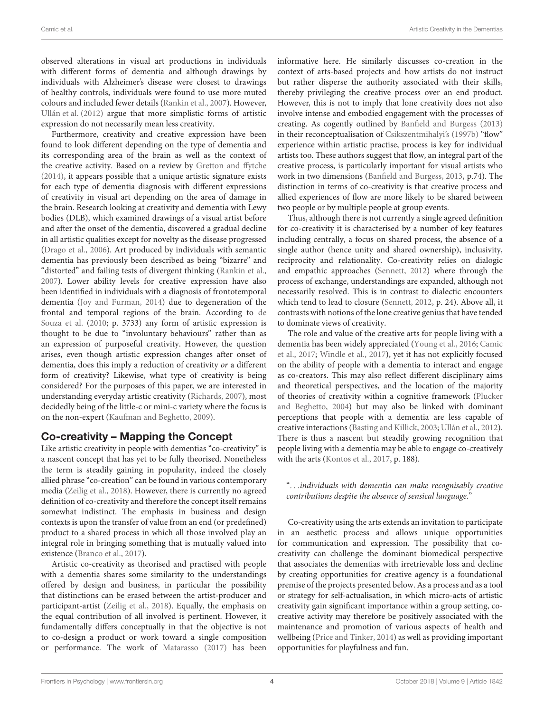observed alterations in visual art productions in individuals with different forms of dementia and although drawings by individuals with Alzheimer's disease were closest to drawings of healthy controls, individuals were found to use more muted colours and included fewer details [\(Rankin et al.,](#page-11-12) [2007\)](#page-11-12). However, [Ullán et al.](#page-11-10) [\(2012\)](#page-11-10) argue that more simplistic forms of artistic expression do not necessarily mean less creativity.

Furthermore, creativity and creative expression have been found to look different depending on the type of dementia and its corresponding area of the brain as well as the context of the creative activity. Based on a review by [Gretton and ffytche](#page-10-20) [\(2014\)](#page-10-20), it appears possible that a unique artistic signature exists for each type of dementia diagnosis with different expressions of creativity in visual art depending on the area of damage in the brain. Research looking at creativity and dementia with Lewy bodies (DLB), which examined drawings of a visual artist before and after the onset of the dementia, discovered a gradual decline in all artistic qualities except for novelty as the disease progressed [\(Drago et al.,](#page-10-21) [2006\)](#page-10-21). Art produced by individuals with semantic dementia has previously been described as being "bizarre" and "distorted" and failing tests of divergent thinking [\(Rankin et al.,](#page-11-12) [2007\)](#page-11-12). Lower ability levels for creative expression have also been identified in individuals with a diagnosis of frontotemporal dementia [\(Joy and Furman,](#page-10-16) [2014\)](#page-10-16) due to degeneration of the frontal and temporal regions of the brain. According to [de](#page-10-22) [Souza et al.](#page-10-22) [\(2010;](#page-10-22) p. 3733) any form of artistic expression is thought to be due to "involuntary behaviours" rather than as an expression of purposeful creativity. However, the question arises, even though artistic expression changes after onset of dementia, does this imply a reduction of creativity or a different form of creativity? Likewise, what type of creativity is being considered? For the purposes of this paper, we are interested in understanding everyday artistic creativity [\(Richards,](#page-11-8) [2007\)](#page-11-8), most decidedly being of the little-c or mini-c variety where the focus is on the non-expert [\(Kaufman and Beghetto,](#page-10-3) [2009\)](#page-10-3).

#### Co-creativity – Mapping the Concept

Like artistic creativity in people with dementias "co-creativity" is a nascent concept that has yet to be fully theorised. Nonetheless the term is steadily gaining in popularity, indeed the closely allied phrase "co-creation" can be found in various contemporary media [\(Zeilig et al.,](#page-11-13) [2018\)](#page-11-13). However, there is currently no agreed definition of co-creativity and therefore the concept itself remains somewhat indistinct. The emphasis in business and design contexts is upon the transfer of value from an end (or predefined) product to a shared process in which all those involved play an integral role in bringing something that is mutually valued into existence [\(Branco et al.,](#page-9-8) [2017\)](#page-9-8).

Artistic co-creativity as theorised and practised with people with a dementia shares some similarity to the understandings offered by design and business, in particular the possibility that distinctions can be erased between the artist-producer and participant-artist [\(Zeilig et al.,](#page-11-13) [2018\)](#page-11-13). Equally, the emphasis on the equal contribution of all involved is pertinent. However, it fundamentally differs conceptually in that the objective is not to co-design a product or work toward a single composition or performance. The work of [Matarasso](#page-10-23) [\(2017\)](#page-10-23) has been

informative here. He similarly discusses co-creation in the context of arts-based projects and how artists do not instruct but rather disperse the authority associated with their skills, thereby privileging the creative process over an end product. However, this is not to imply that lone creativity does not also involve intense and embodied engagement with the processes of creating. As cogently outlined by [Banfield and Burgess](#page-9-9) [\(2013\)](#page-9-9) in their reconceptualisation of [Csikszentmihalyi's](#page-10-24) [\(1997b\)](#page-10-24) "flow" experience within artistic practise, process is key for individual artists too. These authors suggest that flow, an integral part of the creative process, is particularly important for visual artists who work in two dimensions [\(Banfield and Burgess,](#page-9-9) [2013,](#page-9-9) p.74). The distinction in terms of co-creativity is that creative process and allied experiences of flow are more likely to be shared between two people or by multiple people at group events.

Thus, although there is not currently a single agreed definition for co-creativity it is characterised by a number of key features including centrally, a focus on shared process, the absence of a single author (hence unity and shared ownership), inclusivity, reciprocity and relationality. Co-creativity relies on dialogic and empathic approaches [\(Sennett,](#page-11-14) [2012\)](#page-11-14) where through the process of exchange, understandings are expanded, although not necessarily resolved. This is in contrast to dialectic encounters which tend to lead to closure [\(Sennett,](#page-11-14) [2012,](#page-11-14) p. 24). Above all, it contrasts with notions of the lone creative genius that have tended to dominate views of creativity.

The role and value of the creative arts for people living with a dementia has been widely appreciated [\(Young et al.,](#page-11-15) [2016;](#page-11-15) [Camic](#page-10-25) [et al.,](#page-10-25) [2017;](#page-10-25) [Windle et al.,](#page-11-16) [2017\)](#page-11-16), yet it has not explicitly focused on the ability of people with a dementia to interact and engage as co-creators. This may also reflect different disciplinary aims and theoretical perspectives, and the location of the majority of theories of creativity within a cognitive framework [\(Plucker](#page-11-4) [and Beghetto,](#page-11-4) [2004\)](#page-11-4) but may also be linked with dominant perceptions that people with a dementia are less capable of creative interactions [\(Basting and Killick,](#page-9-10) [2003;](#page-9-10) [Ullán et al.,](#page-11-10) [2012\)](#page-11-10). There is thus a nascent but steadily growing recognition that people living with a dementia may be able to engage co-creatively with the arts [\(Kontos et al.,](#page-10-26) [2017,](#page-10-26) p. 188).

". . .individuals with dementia can make recognisably creative contributions despite the absence of sensical language."

Co-creativity using the arts extends an invitation to participate in an aesthetic process and allows unique opportunities for communication and expression. The possibility that cocreativity can challenge the dominant biomedical perspective that associates the dementias with irretrievable loss and decline by creating opportunities for creative agency is a foundational premise of the projects presented below. As a process and as a tool or strategy for self-actualisation, in which micro-acts of artistic creativity gain significant importance within a group setting, cocreative activity may therefore be positively associated with the maintenance and promotion of various aspects of health and wellbeing [\(Price and Tinker,](#page-11-17) [2014\)](#page-11-17) as well as providing important opportunities for playfulness and fun.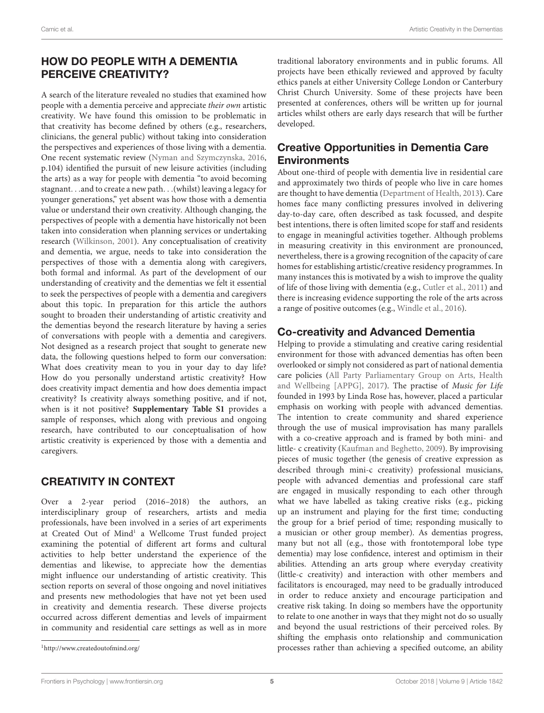# HOW DO PEOPLE WITH A DEMENTIA PERCEIVE CREATIVITY?

A search of the literature revealed no studies that examined how people with a dementia perceive and appreciate their own artistic creativity. We have found this omission to be problematic in that creativity has become defined by others (e.g., researchers, clinicians, the general public) without taking into consideration the perspectives and experiences of those living with a dementia. One recent systematic review [\(Nyman and Szymczynska,](#page-10-27) [2016,](#page-10-27) p.104) identified the pursuit of new leisure activities (including the arts) as a way for people with dementia "to avoid becoming stagnant. . .and to create a new path. . .(whilst) leaving a legacy for younger generations," yet absent was how those with a dementia value or understand their own creativity. Although changing, the perspectives of people with a dementia have historically not been taken into consideration when planning services or undertaking research [\(Wilkinson,](#page-11-18) [2001\)](#page-11-18). Any conceptualisation of creativity and dementia, we argue, needs to take into consideration the perspectives of those with a dementia along with caregivers, both formal and informal. As part of the development of our understanding of creativity and the dementias we felt it essential to seek the perspectives of people with a dementia and caregivers about this topic. In preparation for this article the authors sought to broaden their understanding of artistic creativity and the dementias beyond the research literature by having a series of conversations with people with a dementia and caregivers. Not designed as a research project that sought to generate new data, the following questions helped to form our conversation: What does creativity mean to you in your day to day life? How do you personally understand artistic creativity? How does creativity impact dementia and how does dementia impact creativity? Is creativity always something positive, and if not, when is it not positive? **[Supplementary Table S1](#page-9-11)** provides a sample of responses, which along with previous and ongoing research, have contributed to our conceptualisation of how artistic creativity is experienced by those with a dementia and caregivers.

### CREATIVITY IN CONTEXT

Over a 2-year period (2016–2018) the authors, an interdisciplinary group of researchers, artists and media professionals, have been involved in a series of art experiments at Created Out of Mind<sup>[1](#page-4-0)</sup> a Wellcome Trust funded project examining the potential of different art forms and cultural activities to help better understand the experience of the dementias and likewise, to appreciate how the dementias might influence our understanding of artistic creativity. This section reports on several of those ongoing and novel initiatives and presents new methodologies that have not yet been used in creativity and dementia research. These diverse projects occurred across different dementias and levels of impairment in community and residential care settings as well as in more

<span id="page-4-0"></span><sup>1</sup><http://www.createdoutofmind.org/>

traditional laboratory environments and in public forums. All projects have been ethically reviewed and approved by faculty ethics panels at either University College London or Canterbury Christ Church University. Some of these projects have been presented at conferences, others will be written up for journal articles whilst others are early days research that will be further developed.

## Creative Opportunities in Dementia Care **Environments**

About one-third of people with dementia live in residential care and approximately two thirds of people who live in care homes are thought to have dementia [\(Department of Health,](#page-10-28) [2013\)](#page-10-28). Care homes face many conflicting pressures involved in delivering day-to-day care, often described as task focussed, and despite best intentions, there is often limited scope for staff and residents to engage in meaningful activities together. Although problems in measuring creativity in this environment are pronounced, nevertheless, there is a growing recognition of the capacity of care homes for establishing artistic/creative residency programmes. In many instances this is motivated by a wish to improve the quality of life of those living with dementia (e.g., [Cutler et al.,](#page-10-29) [2011\)](#page-10-29) and there is increasing evidence supporting the role of the arts across a range of positive outcomes (e.g., [Windle et al.,](#page-11-19) [2016\)](#page-11-19).

### Co-creativity and Advanced Dementia

Helping to provide a stimulating and creative caring residential environment for those with advanced dementias has often been overlooked or simply not considered as part of national dementia care policies [\(All Party Parliamentary Group on Arts, Health](#page-9-12) [and Wellbeing \[APPG\],](#page-9-12) [2017\)](#page-9-12). The practise of Music for Life founded in 1993 by Linda Rose has, however, placed a particular emphasis on working with people with advanced dementias. The intention to create community and shared experience through the use of musical improvisation has many parallels with a co-creative approach and is framed by both mini- and little- c creativity [\(Kaufman and Beghetto,](#page-10-3) [2009\)](#page-10-3). By improvising pieces of music together (the genesis of creative expression as described through mini-c creativity) professional musicians, people with advanced dementias and professional care staff are engaged in musically responding to each other through what we have labelled as taking creative risks (e.g., picking up an instrument and playing for the first time; conducting the group for a brief period of time; responding musically to a musician or other group member). As dementias progress, many but not all (e.g., those with frontotemporal lobe type dementia) may lose confidence, interest and optimism in their abilities. Attending an arts group where everyday creativity (little-c creativity) and interaction with other members and facilitators is encouraged, may need to be gradually introduced in order to reduce anxiety and encourage participation and creative risk taking. In doing so members have the opportunity to relate to one another in ways that they might not do so usually and beyond the usual restrictions of their perceived roles. By shifting the emphasis onto relationship and communication processes rather than achieving a specified outcome, an ability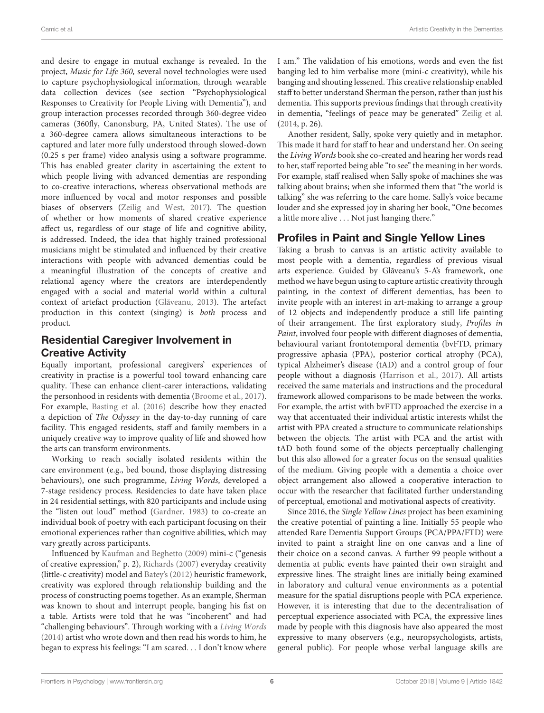and desire to engage in mutual exchange is revealed. In the project, Music for Life 360, several novel technologies were used to capture psychophysiological information, through wearable data collection devices (see section "Psychophysiological Responses to Creativity for People Living with Dementia"), and group interaction processes recorded through 360-degree video cameras (360fly, Canonsburg, PA, United States). The use of a 360-degree camera allows simultaneous interactions to be captured and later more fully understood through slowed-down (0.25 s per frame) video analysis using a software programme. This has enabled greater clarity in ascertaining the extent to which people living with advanced dementias are responding to co-creative interactions, whereas observational methods are more influenced by vocal and motor responses and possible biases of observers [\(Zeilig and West,](#page-11-20) [2017\)](#page-11-20). The question of whether or how moments of shared creative experience affect us, regardless of our stage of life and cognitive ability, is addressed. Indeed, the idea that highly trained professional musicians might be stimulated and influenced by their creative interactions with people with advanced dementias could be a meaningful illustration of the concepts of creative and relational agency where the creators are interdependently engaged with a social and material world within a cultural context of artefact production (Glăveanu, [2013\)](#page-10-11). The artefact production in this context (singing) is both process and product.

### Residential Caregiver Involvement in Creative Activity

Equally important, professional caregivers' experiences of creativity in practise is a powerful tool toward enhancing care quality. These can enhance client-carer interactions, validating the personhood in residents with dementia [\(Broome et al.,](#page-9-13) [2017\)](#page-9-13). For example, [Basting et al.](#page-9-14) [\(2016\)](#page-9-14) describe how they enacted a depiction of The Odyssey in the day-to-day running of care facility. This engaged residents, staff and family members in a uniquely creative way to improve quality of life and showed how the arts can transform environments.

Working to reach socially isolated residents within the care environment (e.g., bed bound, those displaying distressing behaviours), one such programme, Living Words, developed a 7-stage residency process. Residencies to date have taken place in 24 residential settings, with 820 participants and include using the "listen out loud" method [\(Gardner,](#page-10-30) [1983\)](#page-10-30) to co-create an individual book of poetry with each participant focusing on their emotional experiences rather than cognitive abilities, which may vary greatly across participants.

Influenced by [Kaufman and Beghetto](#page-10-3) [\(2009\)](#page-10-3) mini-c ("genesis of creative expression," p. 2), [Richards](#page-11-8) [\(2007\)](#page-11-8) everyday creativity (little-c creativity) model and [Batey's](#page-9-6) [\(2012\)](#page-9-6) heuristic framework, creativity was explored through relationship building and the process of constructing poems together. As an example, Sherman was known to shout and interrupt people, banging his fist on a table. Artists were told that he was "incoherent" and had "challenging behaviours". Through working with a [Living Words](#page-10-31) [\(2014\)](#page-10-31) artist who wrote down and then read his words to him, he began to express his feelings: "I am scared. . . I don't know where I am." The validation of his emotions, words and even the fist banging led to him verbalise more (mini-c creativity), while his banging and shouting lessened. This creative relationship enabled staff to better understand Sherman the person, rather than just his dementia. This supports previous findings that through creativity in dementia, "feelings of peace may be generated" [Zeilig et al.](#page-11-9) [\(2014,](#page-11-9) p. 26).

Another resident, Sally, spoke very quietly and in metaphor. This made it hard for staff to hear and understand her. On seeing the Living Words book she co-created and hearing her words read to her, staff reported being able "to see" the meaning in her words. For example, staff realised when Sally spoke of machines she was talking about brains; when she informed them that "the world is talking" she was referring to the care home. Sally's voice became louder and she expressed joy in sharing her book, "One becomes a little more alive . . . Not just hanging there."

#### Profiles in Paint and Single Yellow Lines

Taking a brush to canvas is an artistic activity available to most people with a dementia, regardless of previous visual arts experience. Guided by Glãveanu's 5-A's framework, one method we have begun using to capture artistic creativity through painting, in the context of different dementias, has been to invite people with an interest in art-making to arrange a group of 12 objects and independently produce a still life painting of their arrangement. The first exploratory study, Profiles in Paint, involved four people with different diagnoses of dementia, behavioural variant frontotemporal dementia (bvFTD, primary progressive aphasia (PPA), posterior cortical atrophy (PCA), typical Alzheimer's disease (tAD) and a control group of four people without a diagnosis [\(Harrison et al.,](#page-10-32) [2017\)](#page-10-32). All artists received the same materials and instructions and the procedural framework allowed comparisons to be made between the works. For example, the artist with bvFTD approached the exercise in a way that accentuated their individual artistic interests whilst the artist with PPA created a structure to communicate relationships between the objects. The artist with PCA and the artist with tAD both found some of the objects perceptually challenging but this also allowed for a greater focus on the sensual qualities of the medium. Giving people with a dementia a choice over object arrangement also allowed a cooperative interaction to occur with the researcher that facilitated further understanding of perceptual, emotional and motivational aspects of creativity.

Since 2016, the Single Yellow Lines project has been examining the creative potential of painting a line. Initially 55 people who attended Rare Dementia Support Groups (PCA/PPA/FTD) were invited to paint a straight line on one canvas and a line of their choice on a second canvas. A further 99 people without a dementia at public events have painted their own straight and expressive lines. The straight lines are initially being examined in laboratory and cultural venue environments as a potential measure for the spatial disruptions people with PCA experience. However, it is interesting that due to the decentralisation of perceptual experience associated with PCA, the expressive lines made by people with this diagnosis have also appeared the most expressive to many observers (e.g., neuropsychologists, artists, general public). For people whose verbal language skills are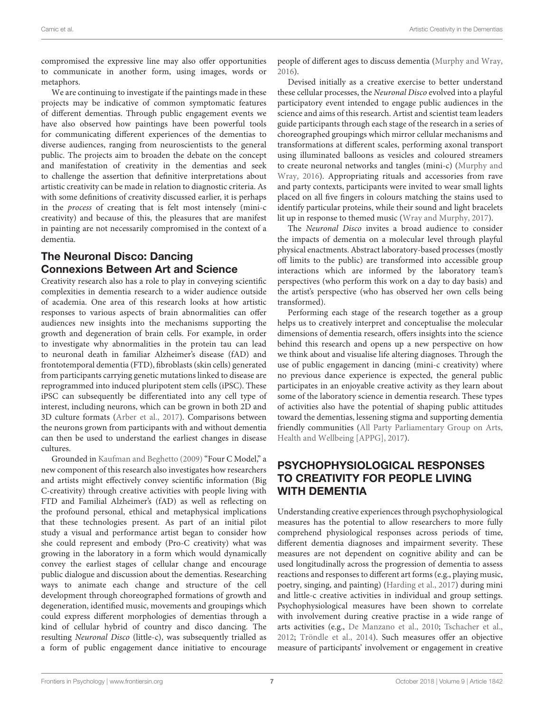compromised the expressive line may also offer opportunities to communicate in another form, using images, words or metaphors.

We are continuing to investigate if the paintings made in these projects may be indicative of common symptomatic features of different dementias. Through public engagement events we have also observed how paintings have been powerful tools for communicating different experiences of the dementias to diverse audiences, ranging from neuroscientists to the general public. The projects aim to broaden the debate on the concept and manifestation of creativity in the dementias and seek to challenge the assertion that definitive interpretations about artistic creativity can be made in relation to diagnostic criteria. As with some definitions of creativity discussed earlier, it is perhaps in the process of creating that is felt most intensely (mini-c creativity) and because of this, the pleasures that are manifest in painting are not necessarily compromised in the context of a dementia.

## The Neuronal Disco: Dancing Connexions Between Art and Science

Creativity research also has a role to play in conveying scientific complexities in dementia research to a wider audience outside of academia. One area of this research looks at how artistic responses to various aspects of brain abnormalities can offer audiences new insights into the mechanisms supporting the growth and degeneration of brain cells. For example, in order to investigate why abnormalities in the protein tau can lead to neuronal death in familiar Alzheimer's disease (fAD) and frontotemporal dementia (FTD), fibroblasts (skin cells) generated from participants carrying genetic mutations linked to disease are reprogrammed into induced pluripotent stem cells (iPSC). These iPSC can subsequently be differentiated into any cell type of interest, including neurons, which can be grown in both 2D and 3D culture formats [\(Arber et al.,](#page-9-15) [2017\)](#page-9-15). Comparisons between the neurons grown from participants with and without dementia can then be used to understand the earliest changes in disease cultures.

Grounded in [Kaufman and Beghetto](#page-10-3) [\(2009\)](#page-10-3) "Four C Model," a new component of this research also investigates how researchers and artists might effectively convey scientific information (Big C-creativity) through creative activities with people living with FTD and Familial Alzheimer's (fAD) as well as reflecting on the profound personal, ethical and metaphysical implications that these technologies present. As part of an initial pilot study a visual and performance artist began to consider how she could represent and embody (Pro-C creativity) what was growing in the laboratory in a form which would dynamically convey the earliest stages of cellular change and encourage public dialogue and discussion about the dementias. Researching ways to animate each change and structure of the cell development through choreographed formations of growth and degeneration, identified music, movements and groupings which could express different morphologies of dementias through a kind of cellular hybrid of country and disco dancing. The resulting Neuronal Disco (little-c), was subsequently trialled as a form of public engagement dance initiative to encourage people of different ages to discuss dementia [\(Murphy and Wray,](#page-10-33) [2016\)](#page-10-33).

Devised initially as a creative exercise to better understand these cellular processes, the Neuronal Disco evolved into a playful participatory event intended to engage public audiences in the science and aims of this research. Artist and scientist team leaders guide participants through each stage of the research in a series of choreographed groupings which mirror cellular mechanisms and transformations at different scales, performing axonal transport using illuminated balloons as vesicles and coloured streamers to create neuronal networks and tangles (mini-c) [\(Murphy and](#page-10-33) [Wray,](#page-10-33) [2016\)](#page-10-33). Appropriating rituals and accessories from rave and party contexts, participants were invited to wear small lights placed on all five fingers in colours matching the stains used to identify particular proteins, while their sound and light bracelets lit up in response to themed music [\(Wray and Murphy,](#page-11-21) [2017\)](#page-11-21).

The Neuronal Disco invites a broad audience to consider the impacts of dementia on a molecular level through playful physical enactments. Abstract laboratory-based processes (mostly off limits to the public) are transformed into accessible group interactions which are informed by the laboratory team's perspectives (who perform this work on a day to day basis) and the artist's perspective (who has observed her own cells being transformed).

Performing each stage of the research together as a group helps us to creatively interpret and conceptualise the molecular dimensions of dementia research, offers insights into the science behind this research and opens up a new perspective on how we think about and visualise life altering diagnoses. Through the use of public engagement in dancing (mini-c creativity) where no previous dance experience is expected, the general public participates in an enjoyable creative activity as they learn about some of the laboratory science in dementia research. These types of activities also have the potential of shaping public attitudes toward the dementias, lessening stigma and supporting dementia friendly communities [\(All Party Parliamentary Group on Arts,](#page-9-12) [Health and Wellbeing \[APPG\],](#page-9-12) [2017\)](#page-9-12).

# PSYCHOPHYSIOLOGICAL RESPONSES TO CREATIVITY FOR PEOPLE LIVING WITH DEMENTIA

Understanding creative experiences through psychophysiological measures has the potential to allow researchers to more fully comprehend physiological responses across periods of time, different dementia diagnoses and impairment severity. These measures are not dependent on cognitive ability and can be used longitudinally across the progression of dementia to assess reactions and responses to different art forms (e.g., playing music, poetry, singing, and painting) [\(Harding et al.,](#page-10-34) [2017\)](#page-10-34) during mini and little-c creative activities in individual and group settings. Psychophysiological measures have been shown to correlate with involvement during creative practise in a wide range of arts activities (e.g., [De Manzano et al.,](#page-10-35) [2010;](#page-10-35) [Tschacher et al.,](#page-11-22) [2012;](#page-11-22) [Tröndle et al.,](#page-11-23) [2014\)](#page-11-23). Such measures offer an objective measure of participants' involvement or engagement in creative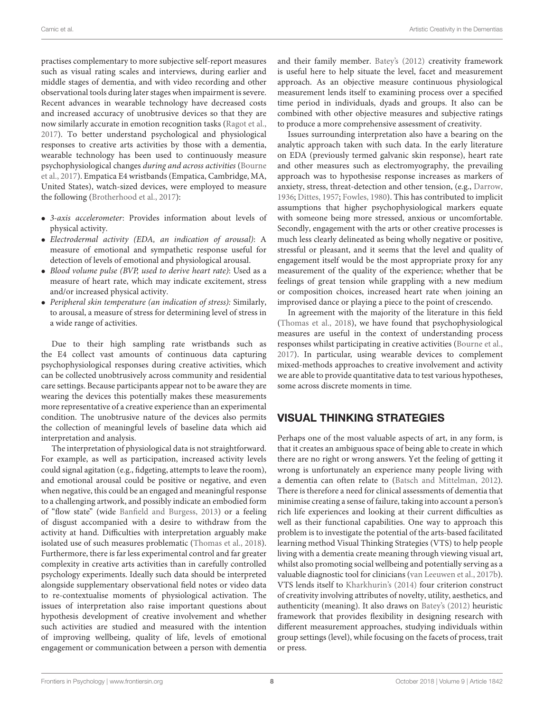practises complementary to more subjective self-report measures such as visual rating scales and interviews, during earlier and middle stages of dementia, and with video recording and other observational tools during later stages when impairment is severe. Recent advances in wearable technology have decreased costs and increased accuracy of unobtrusive devices so that they are now similarly accurate in emotion recognition tasks [\(Ragot et al.,](#page-11-24) [2017\)](#page-11-24). To better understand psychological and physiological responses to creative arts activities by those with a dementia, wearable technology has been used to continuously measure psychophysiological changes during and across activities [\(Bourne](#page-9-16) [et al.,](#page-9-16) [2017\)](#page-9-16). Empatica E4 wristbands (Empatica, Cambridge, MA, United States), watch-sized devices, were employed to measure the following [\(Brotherhood et al.,](#page-9-0) [2017\)](#page-9-0):

- 3-axis accelerometer: Provides information about levels of physical activity.
- Electrodermal activity (EDA, an indication of arousal): A measure of emotional and sympathetic response useful for detection of levels of emotional and physiological arousal.
- Blood volume pulse (BVP, used to derive heart rate): Used as a measure of heart rate, which may indicate excitement, stress and/or increased physical activity.
- Peripheral skin temperature (an indication of stress): Similarly, to arousal, a measure of stress for determining level of stress in a wide range of activities.

Due to their high sampling rate wristbands such as the E4 collect vast amounts of continuous data capturing psychophysiological responses during creative activities, which can be collected unobtrusively across community and residential care settings. Because participants appear not to be aware they are wearing the devices this potentially makes these measurements more representative of a creative experience than an experimental condition. The unobtrusive nature of the devices also permits the collection of meaningful levels of baseline data which aid interpretation and analysis.

The interpretation of physiological data is not straightforward. For example, as well as participation, increased activity levels could signal agitation (e.g., fidgeting, attempts to leave the room), and emotional arousal could be positive or negative, and even when negative, this could be an engaged and meaningful response to a challenging artwork, and possibly indicate an embodied form of "flow state" (wide [Banfield and Burgess,](#page-9-9) [2013\)](#page-9-9) or a feeling of disgust accompanied with a desire to withdraw from the activity at hand. Difficulties with interpretation arguably make isolated use of such measures problematic [\(Thomas et al.,](#page-11-25) [2018\)](#page-11-25). Furthermore, there is far less experimental control and far greater complexity in creative arts activities than in carefully controlled psychology experiments. Ideally such data should be interpreted alongside supplementary observational field notes or video data to re-contextualise moments of physiological activation. The issues of interpretation also raise important questions about hypothesis development of creative involvement and whether such activities are studied and measured with the intention of improving wellbeing, quality of life, levels of emotional engagement or communication between a person with dementia

and their family member. [Batey's](#page-9-6) [\(2012\)](#page-9-6) creativity framework is useful here to help situate the level, facet and measurement approach. As an objective measure continuous physiological measurement lends itself to examining process over a specified time period in individuals, dyads and groups. It also can be combined with other objective measures and subjective ratings to produce a more comprehensive assessment of creativity.

Issues surrounding interpretation also have a bearing on the analytic approach taken with such data. In the early literature on EDA (previously termed galvanic skin response), heart rate and other measures such as electromyography, the prevailing approach was to hypothesise response increases as markers of anxiety, stress, threat-detection and other tension, (e.g., [Darrow,](#page-10-36) [1936;](#page-10-36) [Dittes,](#page-10-37) [1957;](#page-10-37) [Fowles,](#page-10-38) [1980\)](#page-10-38). This has contributed to implicit assumptions that higher psychophysiological markers equate with someone being more stressed, anxious or uncomfortable. Secondly, engagement with the arts or other creative processes is much less clearly delineated as being wholly negative or positive, stressful or pleasant, and it seems that the level and quality of engagement itself would be the most appropriate proxy for any measurement of the quality of the experience; whether that be feelings of great tension while grappling with a new medium or composition choices, increased heart rate when joining an improvised dance or playing a piece to the point of crescendo.

In agreement with the majority of the literature in this field [\(Thomas et al.,](#page-11-25) [2018\)](#page-11-25), we have found that psychophysiological measures are useful in the context of understanding process responses whilst participating in creative activities [\(Bourne et al.,](#page-9-16) [2017\)](#page-9-16). In particular, using wearable devices to complement mixed-methods approaches to creative involvement and activity we are able to provide quantitative data to test various hypotheses, some across discrete moments in time.

### VISUAL THINKING STRATEGIES

Perhaps one of the most valuable aspects of art, in any form, is that it creates an ambiguous space of being able to create in which there are no right or wrong answers. Yet the feeling of getting it wrong is unfortunately an experience many people living with a dementia can often relate to [\(Batsch and Mittelman,](#page-9-17) [2012\)](#page-9-17). There is therefore a need for clinical assessments of dementia that minimise creating a sense of failure, taking into account a person's rich life experiences and looking at their current difficulties as well as their functional capabilities. One way to approach this problem is to investigate the potential of the arts-based facilitated learning method Visual Thinking Strategies (VTS) to help people living with a dementia create meaning through viewing visual art, whilst also promoting social wellbeing and potentially serving as a valuable diagnostic tool for clinicians [\(van Leeuwen et al.,](#page-11-26) [2017b\)](#page-11-26). VTS lends itself to [Kharkhurin's](#page-10-10) [\(2014\)](#page-10-10) four criterion construct of creativity involving attributes of novelty, utility, aesthetics, and authenticity (meaning). It also draws on [Batey's](#page-9-6) [\(2012\)](#page-9-6) heuristic framework that provides flexibility in designing research with different measurement approaches, studying individuals within group settings (level), while focusing on the facets of process, trait or press.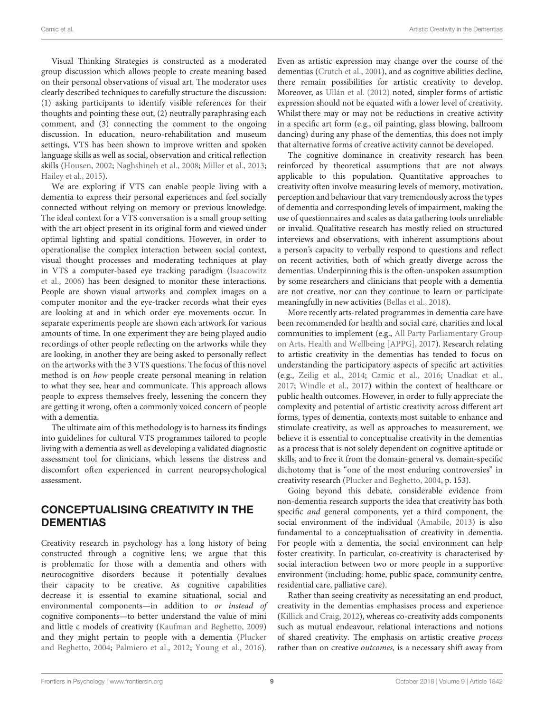Visual Thinking Strategies is constructed as a moderated group discussion which allows people to create meaning based on their personal observations of visual art. The moderator uses clearly described techniques to carefully structure the discussion: (1) asking participants to identify visible references for their thoughts and pointing these out, (2) neutrally paraphrasing each comment, and (3) connecting the comment to the ongoing discussion. In education, neuro-rehabilitation and museum settings, VTS has been shown to improve written and spoken language skills as well as social, observation and critical reflection skills [\(Housen,](#page-10-39) [2002;](#page-10-39) [Naghshineh et al.,](#page-10-40) [2008;](#page-10-40) [Miller et al.,](#page-10-41) [2013;](#page-10-41) [Hailey et al.,](#page-10-42) [2015\)](#page-10-42).

We are exploring if VTS can enable people living with a dementia to express their personal experiences and feel socially connected without relying on memory or previous knowledge. The ideal context for a VTS conversation is a small group setting with the art object present in its original form and viewed under optimal lighting and spatial conditions. However, in order to operationalise the complex interaction between social context, visual thought processes and moderating techniques at play in VTS a computer-based eye tracking paradigm [\(Isaacowitz](#page-10-43) [et al.,](#page-10-43) [2006\)](#page-10-43) has been designed to monitor these interactions. People are shown visual artworks and complex images on a computer monitor and the eye-tracker records what their eyes are looking at and in which order eye movements occur. In separate experiments people are shown each artwork for various amounts of time. In one experiment they are being played audio recordings of other people reflecting on the artworks while they are looking, in another they are being asked to personally reflect on the artworks with the 3 VTS questions. The focus of this novel method is on how people create personal meaning in relation to what they see, hear and communicate. This approach allows people to express themselves freely, lessening the concern they are getting it wrong, often a commonly voiced concern of people with a dementia.

The ultimate aim of this methodology is to harness its findings into guidelines for cultural VTS programmes tailored to people living with a dementia as well as developing a validated diagnostic assessment tool for clinicians, which lessens the distress and discomfort often experienced in current neuropsychological assessment.

#### CONCEPTUALISING CREATIVITY IN THE DEMENTIAS

Creativity research in psychology has a long history of being constructed through a cognitive lens; we argue that this is problematic for those with a dementia and others with neurocognitive disorders because it potentially devalues their capacity to be creative. As cognitive capabilities decrease it is essential to examine situational, social and environmental components—in addition to or instead of cognitive components—to better understand the value of mini and little c models of creativity [\(Kaufman and Beghetto,](#page-10-3) [2009\)](#page-10-3) and they might pertain to people with a dementia [\(Plucker](#page-11-4) [and Beghetto,](#page-11-4) [2004;](#page-11-4) [Palmiero et al.,](#page-10-6) [2012;](#page-10-6) [Young et al.,](#page-11-15) [2016\)](#page-11-15).

Even as artistic expression may change over the course of the dementias [\(Crutch et al.,](#page-10-17) [2001\)](#page-10-17), and as cognitive abilities decline, there remain possibilities for artistic creativity to develop. Moreover, as [Ullán et al.](#page-11-10) [\(2012\)](#page-11-10) noted, simpler forms of artistic expression should not be equated with a lower level of creativity. Whilst there may or may not be reductions in creative activity in a specific art form (e.g., oil painting, glass blowing, ballroom dancing) during any phase of the dementias, this does not imply that alternative forms of creative activity cannot be developed.

The cognitive dominance in creativity research has been reinforced by theoretical assumptions that are not always applicable to this population. Quantitative approaches to creativity often involve measuring levels of memory, motivation, perception and behaviour that vary tremendously across the types of dementia and corresponding levels of impairment, making the use of questionnaires and scales as data gathering tools unreliable or invalid. Qualitative research has mostly relied on structured interviews and observations, with inherent assumptions about a person's capacity to verbally respond to questions and reflect on recent activities, both of which greatly diverge across the dementias. Underpinning this is the often-unspoken assumption by some researchers and clinicians that people with a dementia are not creative, nor can they continue to learn or participate meaningfully in new activities [\(Bellas et al.,](#page-9-1) [2018\)](#page-9-1).

More recently arts-related programmes in dementia care have been recommended for health and social care, charities and local communities to implement (e.g., [All Party Parliamentary Group](#page-9-12) [on Arts, Health and Wellbeing \[APPG\],](#page-9-12) [2017\)](#page-9-12). Research relating to artistic creativity in the dementias has tended to focus on understanding the participatory aspects of specific art activities (e.g., [Zeilig et al.,](#page-11-9) [2014;](#page-11-9) [Camic et al.,](#page-9-18) [2016;](#page-9-18) [Unadkat et al.,](#page-11-27) [2017;](#page-11-27) [Windle et al.,](#page-11-16) [2017\)](#page-11-16) within the context of healthcare or public health outcomes. However, in order to fully appreciate the complexity and potential of artistic creativity across different art forms, types of dementia, contexts most suitable to enhance and stimulate creativity, as well as approaches to measurement, we believe it is essential to conceptualise creativity in the dementias as a process that is not solely dependent on cognitive aptitude or skills, and to free it from the domain-general vs. domain-specific dichotomy that is "one of the most enduring controversies" in creativity research [\(Plucker and Beghetto,](#page-11-4) [2004,](#page-11-4) p. 153).

Going beyond this debate, considerable evidence from non-dementia research supports the idea that creativity has both specific and general components, yet a third component, the social environment of the individual [\(Amabile,](#page-9-19) [2013\)](#page-9-19) is also fundamental to a conceptualisation of creativity in dementia. For people with a dementia, the social environment can help foster creativity. In particular, co-creativity is characterised by social interaction between two or more people in a supportive environment (including: home, public space, community centre, residential care, palliative care).

Rather than seeing creativity as necessitating an end product, creativity in the dementias emphasises process and experience [\(Killick and Craig,](#page-10-44) [2012\)](#page-10-44), whereas co-creativity adds components such as mutual endeavour, relational interactions and notions of shared creativity. The emphasis on artistic creative process rather than on creative outcomes, is a necessary shift away from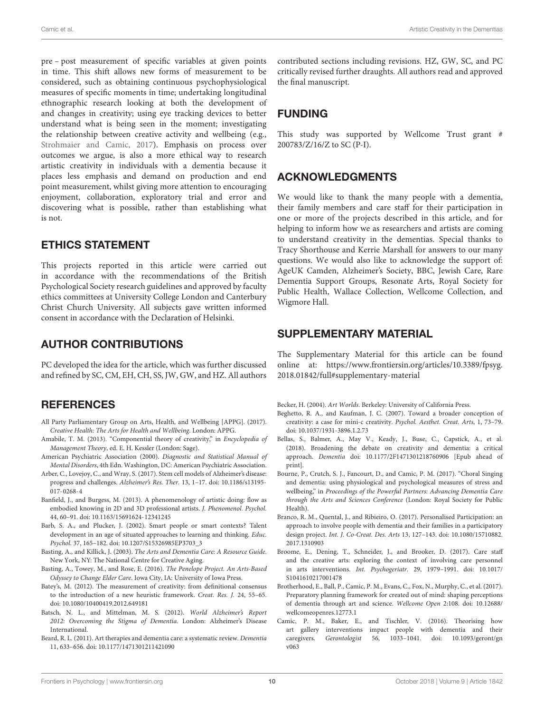pre – post measurement of specific variables at given points in time. This shift allows new forms of measurement to be considered, such as obtaining continuous psychophysiological measures of specific moments in time; undertaking longitudinal ethnographic research looking at both the development of and changes in creativity; using eye tracking devices to better understand what is being seen in the moment; investigating the relationship between creative activity and wellbeing (e.g., [Strohmaier and Camic,](#page-11-28) [2017\)](#page-11-28). Emphasis on process over outcomes we argue, is also a more ethical way to research artistic creativity in individuals with a dementia because it places less emphasis and demand on production and end point measurement, whilst giving more attention to encouraging enjoyment, collaboration, exploratory trial and error and discovering what is possible, rather than establishing what is not.

#### ETHICS STATEMENT

This projects reported in this article were carried out in accordance with the recommendations of the British Psychological Society research guidelines and approved by faculty ethics committees at University College London and Canterbury Christ Church University. All subjects gave written informed consent in accordance with the Declaration of Helsinki.

#### AUTHOR CONTRIBUTIONS

PC developed the idea for the article, which was further discussed and refined by SC, CM, EH, CH, SS, JW, GW, and HZ. All authors

### **REFERENCES**

- <span id="page-9-12"></span>All Party Parliamentary Group on Arts, Health, and Wellbeing [APPG]. (2017). Creative Health: The Arts for Health and Wellbeing. London: APPG.
- <span id="page-9-19"></span>Amabile, T. M. (2013). "Componential theory of creativity," in Encyclopedia of Management Theory, ed. E. H. Kessler (London: Sage).
- <span id="page-9-2"></span>American Psychiatric Association (2000). Diagnostic and Statistical Manual of Mental Disorders, 4th Edn. Washington, DC: American Psychiatric Association.
- <span id="page-9-15"></span>Arber, C., Lovejoy, C., and Wray, S. (2017). Stem cell models of Alzheimer's disease: progress and challenges. Alzheimer's Res. Ther. 13, 1–17. [doi: 10.1186/s13195-](https://doi.org/10.1186/s13195-017-0268-4) [017-0268-4](https://doi.org/10.1186/s13195-017-0268-4)
- <span id="page-9-9"></span>Banfield, J., and Burgess, M. (2013). A phenomenology of artistic doing: flow as embodied knowing in 2D and 3D professional artists. J. Phenomenol. Psychol. 44, 60–91. [doi: 10.1163/15691624-12341245](https://doi.org/10.1163/15691624-12341245)
- <span id="page-9-4"></span>Barb, S. A., and Plucker, J. (2002). Smart people or smart contexts? Talent development in an age of situated approaches to learning and thinking. Educ. Psychol. 37, 165–182. [doi: 10.1207/S15326985EP3703\\_3](https://doi.org/10.1207/S15326985EP3703_3)
- <span id="page-9-10"></span>Basting, A., and Killick, J. (2003). The Arts and Dementia Care: A Resource Guide. New York, NY: The National Centre for Creative Aging.
- <span id="page-9-14"></span>Basting, A., Towey, M., and Rose, E. (2016). The Penelope Project. An Arts-Based Odyssey to Change Elder Care. Iowa City, IA: University of Iowa Press.
- <span id="page-9-6"></span>Batey's, M. (2012). The measurement of creativity: from definitional consensus to the introduction of a new heuristic framework. Creat. Res. J. 24, 55–65. [doi: 10.1080/10400419.2012.649181](https://doi.org/10.1080/10400419.2012.649181)
- <span id="page-9-17"></span>Batsch, N. L., and Mittelman, M. S. (2012). World Alzheimer's Report 2012: Overcoming the Stigma of Dementia. London: Alzheimer's Disease International.
- <span id="page-9-7"></span>Beard, R. L. (2011). Art therapies and dementia care: a systematic review. Dementia 11, 633–656. [doi: 10.1177/1471301211421090](https://doi.org/10.1177/1471301211421090)

contributed sections including revisions. HZ, GW, SC, and PC critically revised further draughts. All authors read and approved the final manuscript.

# FUNDING

This study was supported by Wellcome Trust grant # 200783/Z/16/Z to SC (P-I).

# ACKNOWLEDGMENTS

We would like to thank the many people with a dementia, their family members and care staff for their participation in one or more of the projects described in this article, and for helping to inform how we as researchers and artists are coming to understand creativity in the dementias. Special thanks to Tracy Shorthouse and Kerrie Marshall for answers to our many questions. We would also like to acknowledge the support of: AgeUK Camden, Alzheimer's Society, BBC, Jewish Care, Rare Dementia Support Groups, Resonate Arts, Royal Society for Public Health, Wallace Collection, Wellcome Collection, and Wigmore Hall.

#### <span id="page-9-11"></span>SUPPLEMENTARY MATERIAL

The Supplementary Material for this article can be found online at: [https://www.frontiersin.org/articles/10.3389/fpsyg.](https://www.frontiersin.org/articles/10.3389/fpsyg.2018.01842/full#supplementary-material) [2018.01842/full#supplementary-material](https://www.frontiersin.org/articles/10.3389/fpsyg.2018.01842/full#supplementary-material)

<span id="page-9-3"></span>Becker, H. (2004). Art Worlds. Berkeley: University of California Press.

- <span id="page-9-5"></span>Beghetto, R. A., and Kaufman, J. C. (2007). Toward a broader conception of creativity: a case for mini-c creativity. Psychol. Aesthet. Creat. Arts, 1, 73–79. [doi: 10.1037/1931-3896.1.2.73](https://doi.org/10.1037/1931-3896.1.2.73)
- <span id="page-9-1"></span>Bellas, S., Balmer, A., May V., Keady, J., Buse, C., Capstick, A., et al. (2018). Broadening the debate on creativity and dementia: a critical approach. Dementia [doi: 10.1177/2F1471301218760906](https://doi.org/10.1177/2F1471301218760906) [Epub ahead of print].
- <span id="page-9-16"></span>Bourne, P., Crutch, S. J., Fancourt, D., and Camic, P. M. (2017). "Choral Singing and dementia: using physiological and psychological measures of stress and wellbeing," in Proceedings of the Powerful Partners: Advancing Dementia Care through the Arts and Sciences Conference (London: Royal Society for Public Health).
- <span id="page-9-8"></span>Branco, R. M., Quental, J., and Ribieiro, O. (2017). Personalised Participation: an approach to involve people with dementia and their families in a participatory design project. Int. J. Co-Creat. Des. Arts 13, 127–143. [doi: 10.1080/15710882.](https://doi.org/10.1080/15710882.2017.1310903) [2017.1310903](https://doi.org/10.1080/15710882.2017.1310903)
- <span id="page-9-13"></span>Broome, E., Dening, T., Schneider, J., and Brooker, D. (2017). Care staff and the creative arts: exploring the context of involving care personnel in arts interventions. Int. Psychogeriatr. 29, 1979–1991. [doi: 10.1017/](https://doi.org/10.1017/S1041610217001478) [S1041610217001478](https://doi.org/10.1017/S1041610217001478)
- <span id="page-9-0"></span>Brotherhood, E., Ball, P., Camic, P. M., Evans, C., Fox, N., Murphy, C., et al. (2017). Preparatory planning framework for created out of mind: shaping perceptions of dementia through art and science. Wellcome Open 2:108. [doi: 10.12688/](https://doi.org/10.12688/wellcomeopenres.12773.1) [wellcomeopenres.12773.1](https://doi.org/10.12688/wellcomeopenres.12773.1)
- <span id="page-9-18"></span>Camic, P. M., Baker, E., and Tischler, V. (2016). Theorising how art gallery interventions impact people with dementia and their caregivers. Gerontologist 56, 1033–1041. [doi: 10.1093/geront/gn](https://doi.org/10.1093/geront/gnv063) [v063](https://doi.org/10.1093/geront/gnv063)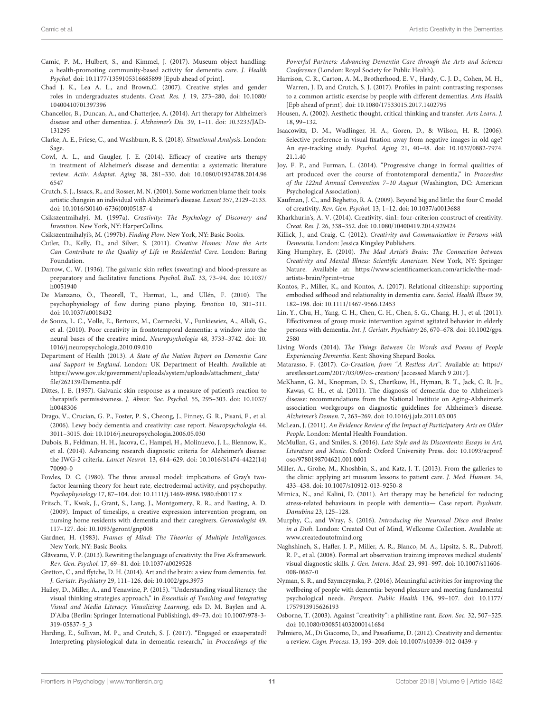- <span id="page-10-25"></span>Camic, P. M., Hulbert, S., and Kimmel, J. (2017). Museum object handling: a health-promoting community-based activity for dementia care. J. Health Psychol. [doi: 10.1177/1359105316685899](https://doi.org/10.1177/1359105316685899) [Epub ahead of print].
- <span id="page-10-1"></span>Chad J. K., Lea A. L., and Brown,C. (2007). Creative styles and gender roles in undergraduates students. Creat. Res. J. 19, 273–280, [doi: 10.1080/](https://doi.org/10.1080/10400410701397396) [10400410701397396](https://doi.org/10.1080/10400410701397396)
- <span id="page-10-15"></span>Chancellor, B., Duncan, A., and Chatterjee, A. (2014). Art therapy for Alzheimer's disease and other dementias. J. Alzheimer's Dis. 39, 1–11. [doi: 10.3233/JAD-](https://doi.org/10.3233/JAD-131295)[131295](https://doi.org/10.3233/JAD-131295)
- <span id="page-10-9"></span>Clarke, A. E., Friese, C., and Washburn, R. S. (2018). Situational Analysis. London: Sage.
- <span id="page-10-13"></span>Cowl, A. L., and Gaugler, J. E. (2014). Efficacy of creative arts therapy in treatment of Alzheimer's disease and dementia: a systematic literature review. Activ. Adaptat. Aging 38, 281–330. [doi: 10.1080/01924788.2014.96](https://doi.org/10.1080/01924788.2014.966547) [6547](https://doi.org/10.1080/01924788.2014.966547)
- <span id="page-10-17"></span>Crutch, S. J., Issacs, R., and Rosser, M. N. (2001). Some workmen blame their tools: artistic changein an individual with Alzheimer's disease. Lancet 357, 2129–2133. [doi: 10.1016/S0140-6736\(00\)05187-4](https://doi.org/10.1016/S0140-6736(00)05187-4)
- <span id="page-10-0"></span>Csikszentmihalyi, M. (1997a). Creativity: The Psychology of Discovery and Invention. New York, NY: HarperCollins.
- <span id="page-10-24"></span>Csikszentmihalyi's, M. (1997b). Finding Flow. New York, NY: Basic Books.
- <span id="page-10-29"></span>Cutler, D., Kelly, D., and Silver, S. (2011). Creative Homes: How the Arts Can Contribute to the Quality of Life in Residential Care. London: Baring Foundation.
- <span id="page-10-36"></span>Darrow, C. W. (1936). The galvanic skin reflex (sweating) and blood-pressure as preparatory and facilitative functions. Psychol. Bull. 33, 73–94. [doi: 10.1037/](https://doi.org/10.1037/h0051940) [h0051940](https://doi.org/10.1037/h0051940)
- <span id="page-10-35"></span>De Manzano, Ö., Theorell, T., Harmat, L., and Ullén, F. (2010). The psychophysiology of flow during piano playing. Emotion 10, 301–311. [doi: 10.1037/a0018432](https://doi.org/10.1037/a0018432)
- <span id="page-10-22"></span>de Souza, L. C., Volle, E., Bertoux, M., Czernecki, V., Funkiewiez, A., Allali, G., et al. (2010). Poor creativity in frontotemporal dementia: a window into the neural bases of the creative mind. Neuropsychologia 48, 3733–3742. [doi: 10.](https://doi.org/10.1016/j.neuropsychologia.2010.09.010) [1016/j.neuropsychologia.2010.09.010](https://doi.org/10.1016/j.neuropsychologia.2010.09.010)
- <span id="page-10-28"></span>Department of Health (2013). A State of the Nation Report on Dementia Care and Support in England. London: UK Department of Health. Available at: [https://www.gov.uk/government/uploads/system/uploads/attachment\\_data/](https://www.gov.uk/government/uploads/system/uploads/attachment_data/file/262139/Dementia.pdf) [file/262139/Dementia.pdf](https://www.gov.uk/government/uploads/system/uploads/attachment_data/file/262139/Dementia.pdf)
- <span id="page-10-37"></span>Dittes, J. E. (1957). Galvanic skin response as a measure of patient's reaction to therapist's permissiveness. J. Abnor. Soc. Psychol. 55, 295–303. [doi: 10.1037/](https://doi.org/10.1037/h0048306) [h0048306](https://doi.org/10.1037/h0048306)
- <span id="page-10-21"></span>Drago, V., Crucian, G. P., Foster, P. S., Cheong, J., Finney, G. R., Pisani, F., et al. (2006). Lewy body dementia and creativity: case report. Neuropsychologia 44, 3011–3015. [doi: 10.1016/j.neuropsychologia.2006.05.030](https://doi.org/10.1016/j.neuropsychologia.2006.05.030)
- <span id="page-10-5"></span>Dubois, B., Feldman, H. H., Jacova, C., Hampel, H., Molinuevo, J. L., Blennow, K., et al. (2014). Advancing research diagnostic criteria for Alzheimer's disease: the IWG-2 criteria. Lancet Neurol. 13, 614–629. [doi: 10.1016/S1474-4422\(14\)](https://doi.org/10.1016/S1474-4422(14)70090-0) [70090-0](https://doi.org/10.1016/S1474-4422(14)70090-0)
- <span id="page-10-38"></span>Fowles, D. C. (1980). The three arousal model: implications of Gray's twofactor learning theory for heart rate, electrodermal activity, and psychopathy. Psychophysiology 17, 87–104. [doi: 10.1111/j.1469-8986.1980.tb00117.x](https://doi.org/10.1111/j.1469-8986.1980.tb00117.x)
- <span id="page-10-19"></span>Fritsch, T., Kwak, J., Grant, S., Lang, J., Montgomery, R. R., and Basting, A. D. (2009). Impact of timeslips, a creative expression intervention program, on nursing home residents with dementia and their caregivers. Gerontologist 49, 117–127. [doi: 10.1093/geront/gnp008](https://doi.org/10.1093/geront/gnp008)
- <span id="page-10-30"></span>Gardner, H. (1983). Frames of Mind: The Theories of Multiple Intelligences. New York, NY: Basic Books.
- <span id="page-10-11"></span>Glăveanu, V. P. (2013). Rewriting the language of creativity: the Five A's framework. Rev. Gen. Psychol. 17, 69–81. [doi: 10.1037/a0029528](https://doi.org/10.1037/a0029528)
- <span id="page-10-20"></span>Gretton, C., and ffytche, D. H. (2014). Art and the brain: a view from dementia. Int. J. Geriatr. Psychiatry 29, 111–126. [doi: 10.1002/gps.3975](https://doi.org/10.1002/gps.3975)
- <span id="page-10-42"></span>Hailey, D., Miller, A., and Yenawine, P. (2015). "Understanding visual literacy: the visual thinking strategies approach," in Essentials of Teaching and Integrating Visual and Media Literacy: Visualizing Learning, eds D. M. Baylen and A. D'Alba (Berlin: Springer International Publishing), 49–73. [doi: 10.1007/978-3-](https://doi.org/10.1007/978-3-319-05837-5_3) [319-05837-5\\_3](https://doi.org/10.1007/978-3-319-05837-5_3)
- <span id="page-10-34"></span>Harding, E., Sullivan, M. P., and Crutch, S. J. (2017). "Engaged or exasperated? Interpreting physiological data in dementia research," in Proceedings of the

Powerful Partners: Advancing Dementia Care through the Arts and Sciences Conference (London: Royal Society for Public Health).

- <span id="page-10-32"></span>Harrison, C. R., Carton, A. M., Brotherhood, E. V., Hardy, C. J. D., Cohen, M. H., Warren, J. D, and Crutch, S. J. (2017). Profiles in paint: contrasting responses to a common artistic exercise by people with different dementias. Arts Health [Epb ahead of print]. [doi: 10.1080/17533015.2017.1402795](https://doi.org/10.1080/17533015.2017.1402795)
- <span id="page-10-39"></span>Housen, A. (2002). Aesthetic thought, critical thinking and transfer. Arts Learn. J. 18, 99–132.
- <span id="page-10-43"></span>Isaacowitz, D. M., Wadlinger, H. A., Goren, D., & Wilson, H. R. (2006). Selective preference in visual fixation away from negative images in old age? An eye-tracking study. Psychol. Aging 21, 40–48. [doi: 10.1037/0882-7974.](https://doi.org/10.1037/0882-7974.21.1.40) [21.1.40](https://doi.org/10.1037/0882-7974.21.1.40)
- <span id="page-10-16"></span>Joy, F. P., and Furman, L. (2014). "Progressive change in formal qualities of art produced over the course of frontotemporal dementia," in Proceedins of the 122nd Annual Convention 7–10 August (Washington, DC: American Psychological Association).
- <span id="page-10-3"></span>Kaufman, J. C., and Beghetto, R. A. (2009). Beyond big and little: the four C model of creativity. Rev. Gen. Psychol. 13, 1–12. [doi: 10.1037/a0013688](https://doi.org/10.1037/a0013688)
- <span id="page-10-10"></span>Kharkhurin's, A. V. (2014). Creativity. 4in1: four-criterion construct of creativity. Creat. Res. J. 26, 338–352. [doi: 10.1080/10400419.2014.929424](https://doi.org/10.1080/10400419.2014.929424)
- <span id="page-10-44"></span>Killick, J., and Craig, C. (2012). Creativity and Communication in Persons with Dementia. London: Jessica Kingsley Publishers.
- <span id="page-10-2"></span>King Humphry, E. (2010). The Mad Artist's Brain: The Connection between Creativity and Mental Illness: Scientific American. New York, NY: Springer Nature. Available at: [https://www.scientificamerican.com/article/the-mad](https://www.scientificamerican.com/article/the-mad-artists-brain/?print=true)[artists-brain/?print=true](https://www.scientificamerican.com/article/the-mad-artists-brain/?print=true)
- <span id="page-10-26"></span>Kontos, P., Miller, K., and Kontos, A. (2017). Relational citizenship: supporting embodied selfhood and relationality in dementia care. Sociol. Health Illness 39, 182–198. [doi: 10.1111/1467-9566.12453](https://doi.org/10.1111/1467-9566.12453)
- <span id="page-10-18"></span>Lin, Y., Chu, H., Yang, C. H., Chen, C. H., Chen, S. G., Chang, H. J., et al. (2011). Effectiveness of group music intervention against agitated behavior in elderly persons with dementia. Int. J. Geriatr. Psychiatry 26, 670–678. [doi: 10.1002/gps.](https://doi.org/10.1002/gps.2580) [2580](https://doi.org/10.1002/gps.2580)
- <span id="page-10-31"></span>Living Words (2014). The Things Between Us: Words and Poems of People Experiencing Dementia. Kent: Shoving Shepard Books.
- <span id="page-10-23"></span>Matarasso, F. (2017). Co-Creation, from "A Restless Art". Available at: [https://](https://arestlessart.com/2017/03/09/co-creation/) [arestlessart.com/2017/03/09/co-creation/](https://arestlessart.com/2017/03/09/co-creation/) [accessed March 9 2017].
- <span id="page-10-4"></span>McKhann, G. M., Knopman, D. S., Chertkow, H., Hyman, B. T., Jack, C. R. Jr., Kawas, C. H., et al. (2011). The diagnosis of dementia due to Alzheimer's disease: recommendations from the National Institute on Aging-Alzheimer's association workgroups on diagnostic guidelines for Alzheimer's disease. Alzheimer's Demen. 7, 263–269. [doi: 10.1016/j.jalz.2011.03.005](https://doi.org/10.1016/j.jalz.2011.03.005)
- <span id="page-10-12"></span>McLean, J. (2011). An Evidence Review of the Impact of Participatory Arts on Older People. London: Mental Health Foundation.
- <span id="page-10-7"></span>McMullan, G., and Smiles, S. (2016). Late Style and its Discontents: Essays in Art, Literature and Music. Oxford: Oxford University Press. [doi: 10.1093/acprof:](https://doi.org/10.1093/acprof:oso/9780198704621.001.0001) [oso/9780198704621.001.0001](https://doi.org/10.1093/acprof:oso/9780198704621.001.0001)
- <span id="page-10-41"></span>Miller, A., Grohe, M., Khoshbin, S., and Katz, J. T. (2013). From the galleries to the clinic: applying art museum lessons to patient care. J. Med. Human. 34, 433–438. [doi: 10.1007/s10912-013-9250-8](https://doi.org/10.1007/s10912-013-9250-8)
- <span id="page-10-14"></span>Mimica, N., and Kalini, D. (2011). Art therapy may be beneficial for reducing stress-related behaviours in people with dementia— Case report. Psychiatr. Danubina 23, 125–128.
- <span id="page-10-33"></span>Murphy, C., and Wray, S. (2016). Introducing the Neuronal Disco and Brains in a Dish. London: Created Out of Mind, Wellcome Collection. Available at: <www.createdoutofmind.org>
- <span id="page-10-40"></span>Naghshineh, S., Hafler, J. P., Miller, A. R., Blanco, M. A., Lipsitz, S. R., Dubroff, R. P., et al. (2008). Formal art observation training improves medical students' visual diagnostic skills. J. Gen. Intern. Med. 23, 991–997. [doi: 10.1007/s11606-](https://doi.org/10.1007/s11606-008-0667-0) [008-0667-0](https://doi.org/10.1007/s11606-008-0667-0)
- <span id="page-10-27"></span>Nyman, S. R., and Szymczynska, P. (2016). Meaningful activities for improving the wellbeing of people with dementia: beyond pleasure and meeting fundamental psychological needs. Perspect. Public Health 136, 99–107. [doi: 10.1177/](https://doi.org/10.1177/1757913915626193) [1757913915626193](https://doi.org/10.1177/1757913915626193)
- <span id="page-10-8"></span>Osborne, T. (2003). Against "creativity": a philistine rant. Econ. Soc. 32, 507–525. [doi: 10.1080/0308514032000141684](https://doi.org/10.1080/0308514032000141684)
- <span id="page-10-6"></span>Palmiero, M., Di Giacomo, D., and Passafiume, D. (2012). Creativity and dementia: a review. Cogn. Process. 13, 193–209. [doi: 10.1007/s10339-012-0439-y](https://doi.org/10.1007/s10339-012-0439-y)